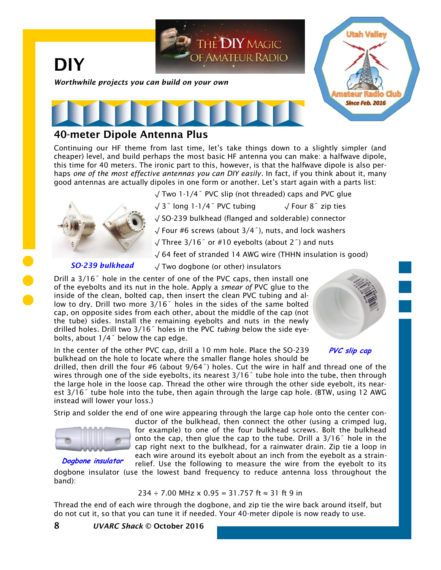

## **40-meter Dipole Antenna Plus**

Continuing our HF theme from last time, let's take things down to a slightly simpler (and cheaper) level, and build perhaps the most basic HF antenna you can make: a halfwave dipole, this time for 40 meters. The ironic part to this, however, is that the halfwave dipole is also perhaps *one of the most effective antennas you can DIY easily*. In fact, if you think about it, many good antennas are actually dipoles in one form or another. Let's start again with a parts list:

√ Two 1-1/4˝ PVC slip (not threaded) caps and PVC glue



√ Four #6 screws (about 3/4˝), nuts, and lock washers

√ Three 3/16˝ or #10 eyebolts (about 2˝) and nuts

√ 64 feet of stranded 14 AWG wire (THHN insulation is good)

## *SO-239 bulkhead*

√ Two dogbone (or other) insulators

Drill a 3/16˝ hole in the center of one of the PVC caps, then install one of the eyebolts and its nut in the hole. Apply a *smear of* PVC glue to the inside of the clean, bolted cap, then insert the clean PVC tubing and allow to dry. Drill two more 3/16˝ holes in the sides of the same bolted cap, on opposite sides from each other, about the middle of the cap (not the tube) sides. Install the remaining eyebolts and nuts in the newly drilled holes. Drill two 3/16˝ holes in the PVC *tubing* below the side eyebolts, about 1/4˝ below the cap edge.



In the center of the other PVC cap, drill a 10 mm hole. Place the SO-239 bulkhead on the hole to locate where the smaller flange holes should be

**PVC slip cap**

drilled, then drill the four #6 (about 9/64˝) holes. Cut the wire in half and thread one of the wires through one of the side eyebolts, its nearest 3/16<sup>"</sup> tube hole into the tube, then through the large hole in the loose cap. Thread the other wire through the other side eyebolt, its nearest 3/16˝ tube hole into the tube, then again through the large cap hole. (BTW, using 12 AWG instead will lower your loss.)

Strip and solder the end of one wire appearing through the large cap hole onto the center con-



**Dogbone insulator**

ductor of the bulkhead, then connect the other (using a crimped lug, for example) to one of the four bulkhead screws. Bolt the bulkhead onto the cap, then glue the cap to the tube. Drill a 3/16˝ hole in the cap right next to the bulkhead, for a rainwater drain. Zip tie a loop in each wire around its eyebolt about an inch from the eyebolt as a strainrelief. Use the following to measure the wire from the eyebolt to its

dogbone insulator (use the lowest band frequency to reduce antenna loss throughout the band):

 $234 \div 7.00$  MHz x 0.95 = 31.757 ft  $\approx 31$  ft 9 in

Thread the end of each wire through the dogbone, and zip tie the wire back around itself, but do not cut it, so that you can tune it if needed. Your 40-meter dipole is now ready to use.